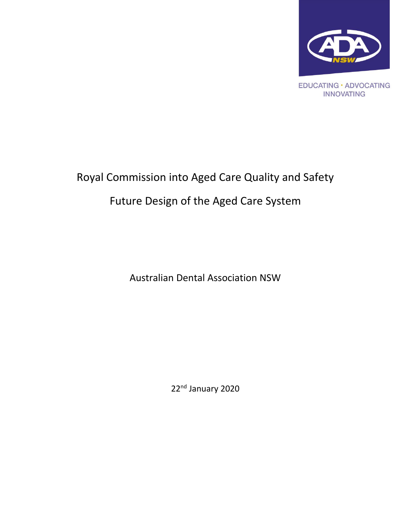

# Royal Commission into Aged Care Quality and Safety Future Design of the Aged Care System

Australian Dental Association NSW

22<sup>nd</sup> January 2020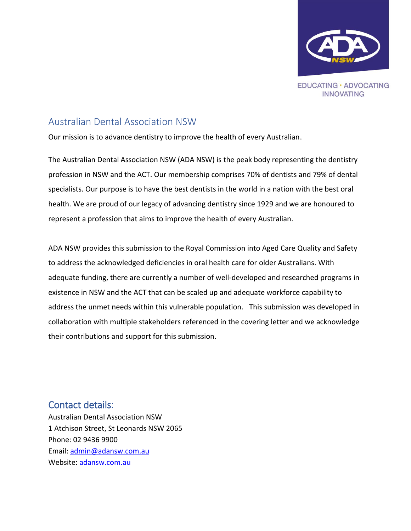

## <span id="page-1-0"></span>Australian Dental Association NSW

Our mission is to advance dentistry to improve the health of every Australian.

The Australian Dental Association NSW (ADA NSW) is the peak body representing the dentistry profession in NSW and the ACT. Our membership comprises 70% of dentists and 79% of dental specialists. Our purpose is to have the best dentists in the world in a nation with the best oral health. We are proud of our legacy of advancing dentistry since 1929 and we are honoured to represent a profession that aims to improve the health of every Australian.

ADA NSW provides this submission to the Royal Commission into Aged Care Quality and Safety to address the acknowledged deficiencies in oral health care for older Australians. With adequate funding, there are currently a number of well-developed and researched programs in existence in NSW and the ACT that can be scaled up and adequate workforce capability to address the unmet needs within this vulnerable population. This submission was developed in collaboration with multiple stakeholders referenced in the covering letter and we acknowledge their contributions and support for this submission.

### <span id="page-1-1"></span>Contact details:

Australian Dental Association NSW 1 Atchison Street, St Leonards NSW 2065 Phone: 02 9436 9900 Email: [admin@adansw.com.au](mailto:admin@adansw.com.au) Website: [adansw.com.au](http://www.adansw.com.au/)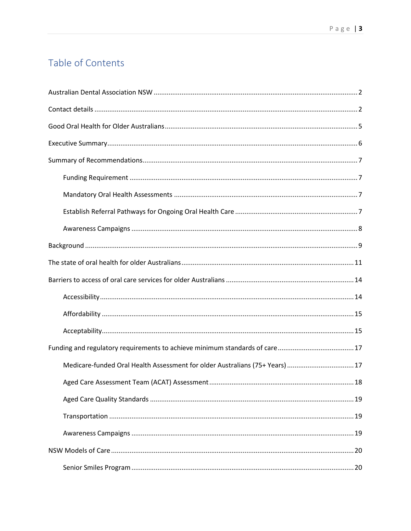# Table of Contents

| Medicare-funded Oral Health Assessment for older Australians (75+ Years) 17 |  |  |
|-----------------------------------------------------------------------------|--|--|
|                                                                             |  |  |
|                                                                             |  |  |
|                                                                             |  |  |
|                                                                             |  |  |
|                                                                             |  |  |
|                                                                             |  |  |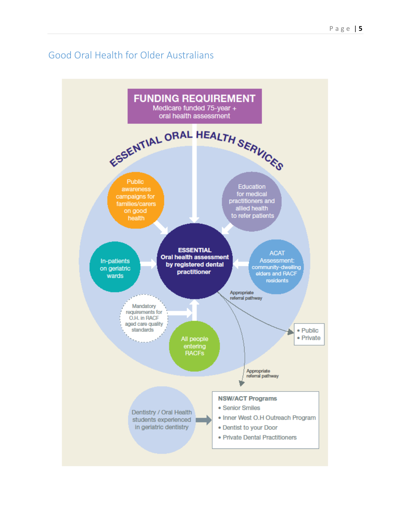## <span id="page-4-0"></span>Good Oral Health for Older Australians

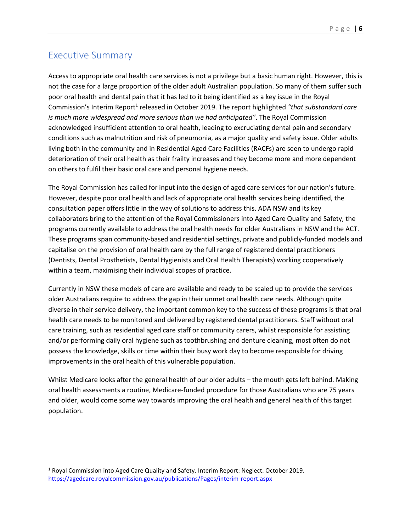### <span id="page-5-0"></span>Executive Summary

 $\overline{\phantom{a}}$ 

Access to appropriate oral health care services is not a privilege but a basic human right. However, this is not the case for a large proportion of the older adult Australian population. So many of them suffer such poor oral health and dental pain that it has led to it being identified as a key issue in the Royal Commission's Interim Report<sup>1</sup> released in October 2019. The report highlighted "that substandard care *is much more widespread and more serious than we had anticipated"*. The Royal Commission acknowledged insufficient attention to oral health, leading to excruciating dental pain and secondary conditions such as malnutrition and risk of pneumonia, as a major quality and safety issue. Older adults living both in the community and in Residential Aged Care Facilities (RACFs) are seen to undergo rapid deterioration of their oral health as their frailty increases and they become more and more dependent on others to fulfil their basic oral care and personal hygiene needs.

The Royal Commission has called for input into the design of aged care services for our nation's future. However, despite poor oral health and lack of appropriate oral health services being identified, the consultation paper offers little in the way of solutions to address this. ADA NSW and its key collaborators bring to the attention of the Royal Commissioners into Aged Care Quality and Safety, the programs currently available to address the oral health needs for older Australians in NSW and the ACT. These programs span community-based and residential settings, private and publicly-funded models and capitalise on the provision of oral health care by the full range of registered dental practitioners (Dentists, Dental Prosthetists, Dental Hygienists and Oral Health Therapists) working cooperatively within a team, maximising their individual scopes of practice.

Currently in NSW these models of care are available and ready to be scaled up to provide the services older Australians require to address the gap in their unmet oral health care needs. Although quite diverse in their service delivery, the important common key to the success of these programs is that oral health care needs to be monitored and delivered by registered dental practitioners. Staff without oral care training, such as residential aged care staff or community carers, whilst responsible for assisting and/or performing daily oral hygiene such as toothbrushing and denture cleaning, most often do not possess the knowledge, skills or time within their busy work day to become responsible for driving improvements in the oral health of this vulnerable population.

Whilst Medicare looks after the general health of our older adults – the mouth gets left behind. Making oral health assessments a routine, Medicare-funded procedure for those Australians who are 75 years and older, would come some way towards improving the oral health and general health of this target population.

<sup>1</sup> Royal Commission into Aged Care Quality and Safety. Interim Report: Neglect. October 2019. <https://agedcare.royalcommission.gov.au/publications/Pages/interim-report.aspx>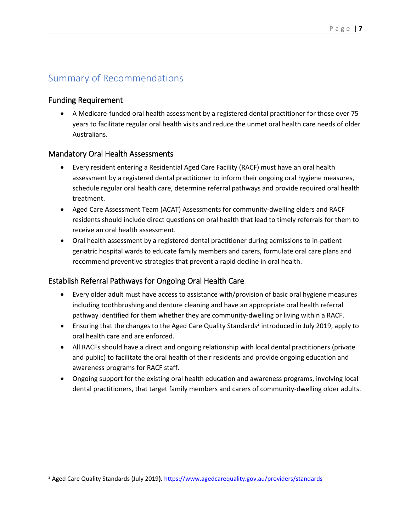# <span id="page-6-0"></span>Summary of Recommendations

#### <span id="page-6-1"></span>Funding Requirement

 $\overline{\phantom{a}}$ 

• A Medicare-funded oral health assessment by a registered dental practitioner for those over 75 years to facilitate regular oral health visits and reduce the unmet oral health care needs of older Australians.

#### <span id="page-6-2"></span>Mandatory Oral Health Assessments

- Every resident entering a Residential Aged Care Facility (RACF) must have an oral health assessment by a registered dental practitioner to inform their ongoing oral hygiene measures, schedule regular oral health care, determine referral pathways and provide required oral health treatment.
- Aged Care Assessment Team (ACAT) Assessments for community-dwelling elders and RACF residents should include direct questions on oral health that lead to timely referrals for them to receive an oral health assessment.
- Oral health assessment by a registered dental practitioner during admissions to in-patient geriatric hospital wards to educate family members and carers, formulate oral care plans and recommend preventive strategies that prevent a rapid decline in oral health.

#### <span id="page-6-3"></span>Establish Referral Pathways for Ongoing Oral Health Care

- Every older adult must have access to assistance with/provision of basic oral hygiene measures including toothbrushing and denture cleaning and have an appropriate oral health referral pathway identified for them whether they are community-dwelling or living within a RACF.
- **•** Ensuring that the changes to the Aged Care Quality Standards<sup>2</sup> introduced in July 2019, apply to oral health care and are enforced.
- All RACFs should have a direct and ongoing relationship with local dental practitioners (private and public) to facilitate the oral health of their residents and provide ongoing education and awareness programs for RACF staff.
- Ongoing support for the existing oral health education and awareness programs, involving local dental practitioners, that target family members and carers of community-dwelling older adults.

<sup>2</sup> Aged Care Quality Standards (July 2019**).** <https://www.agedcarequality.gov.au/providers/standards>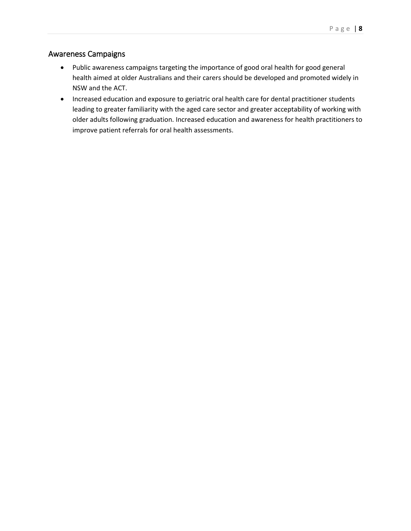#### <span id="page-7-0"></span>Awareness Campaigns

- Public awareness campaigns targeting the importance of good oral health for good general health aimed at older Australians and their carers should be developed and promoted widely in NSW and the ACT.
- Increased education and exposure to geriatric oral health care for dental practitioner students leading to greater familiarity with the aged care sector and greater acceptability of working with older adults following graduation. Increased education and awareness for health practitioners to improve patient referrals for oral health assessments.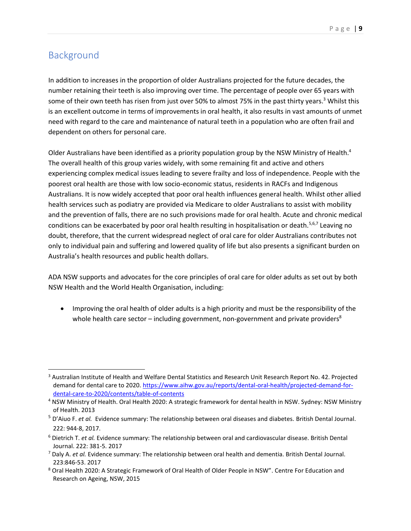# <span id="page-8-0"></span>Background

 $\overline{\phantom{a}}$ 

In addition to increases in the proportion of older Australians projected for the future decades, the number retaining their teeth is also improving over time. The percentage of people over 65 years with some of their own teeth has risen from just over 50% to almost 75% in the past thirty years.<sup>3</sup> Whilst this is an excellent outcome in terms of improvements in oral health, it also results in vast amounts of unmet need with regard to the care and maintenance of natural teeth in a population who are often frail and dependent on others for personal care.

Older Australians have been identified as a priority population group by the NSW Ministry of Health.<sup>4</sup> The overall health of this group varies widely, with some remaining fit and active and others experiencing complex medical issues leading to severe frailty and loss of independence. People with the poorest oral health are those with low socio-economic status, residents in RACFs and Indigenous Australians. It is now widely accepted that poor oral health influences general health. Whilst other allied health services such as podiatry are provided via Medicare to older Australians to assist with mobility and the prevention of falls, there are no such provisions made for oral health. Acute and chronic medical conditions can be exacerbated by poor oral health resulting in hospitalisation or death.<sup>5,6,7</sup> Leaving no doubt, therefore, that the current widespread neglect of oral care for older Australians contributes not only to individual pain and suffering and lowered quality of life but also presents a significant burden on Australia's health resources and public health dollars.

ADA NSW supports and advocates for the core principles of oral care for older adults as set out by both NSW Health and the World Health Organisation, including:

• Improving the oral health of older adults is a high priority and must be the responsibility of the whole health care sector – including government, non-government and private providers $8$ 

<sup>3</sup> Australian Institute of Health and Welfare Dental Statistics and Research Unit Research Report No. 42. Projected demand for dental care to 2020. [https://www.aihw.gov.au/reports/dental-oral-health/projected-demand-for](https://www.aihw.gov.au/reports/dental-oral-health/projected-demand-for-dental-care-to-2020/contents/table-of-contents)[dental-care-to-2020/contents/table-of-contents](https://www.aihw.gov.au/reports/dental-oral-health/projected-demand-for-dental-care-to-2020/contents/table-of-contents)

<sup>4</sup> NSW Ministry of Health. Oral Health 2020: A strategic framework for dental health in NSW. Sydney: NSW Ministry of Health. 2013

<sup>5</sup> D'Aiuo F. *et al.* Evidence summary: The relationship between oral diseases and diabetes. British Dental Journal. 222: 944-8, 2017.

<sup>6</sup> Dietrich T. *et al.* Evidence summary: The relationship between oral and cardiovascular disease. British Dental Journal. 222: 381-5. 2017

<sup>7</sup> Daly A. *et al.* Evidence summary: The relationship between oral health and dementia. British Dental Journal. 223:846-53. 2017

<sup>8</sup> Oral Health 2020: A Strategic Framework of Oral Health of Older People in NSW". Centre For Education and Research on Ageing, NSW, 2015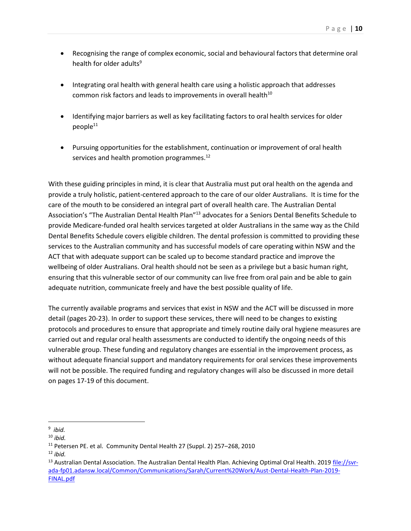- Recognising the range of complex economic, social and behavioural factors that determine oral health for older adults<sup>9</sup>
- Integrating oral health with general health care using a holistic approach that addresses common risk factors and leads to improvements in overall health $10<sup>10</sup>$
- Identifying major barriers as well as key facilitating factors to oral health services for older  $p$ eople $11$
- Pursuing opportunities for the establishment, continuation or improvement of oral health services and health promotion programmes.<sup>12</sup>

With these guiding principles in mind, it is clear that Australia must put oral health on the agenda and provide a truly holistic, patient-centered approach to the care of our older Australians. It is time for the care of the mouth to be considered an integral part of overall health care. The Australian Dental Association's "The Australian Dental Health Plan"<sup>13</sup> advocates for a Seniors Dental Benefits Schedule to provide Medicare-funded oral health services targeted at older Australians in the same way as the Child Dental Benefits Schedule covers eligible children. The dental profession is committed to providing these services to the Australian community and has successful models of care operating within NSW and the ACT that with adequate support can be scaled up to become standard practice and improve the wellbeing of older Australians. Oral health should not be seen as a privilege but a basic human right, ensuring that this vulnerable sector of our community can live free from oral pain and be able to gain adequate nutrition, communicate freely and have the best possible quality of life.

The currently available programs and services that exist in NSW and the ACT will be discussed in more detail (pages 20-23). In order to support these services, there will need to be changes to existing protocols and procedures to ensure that appropriate and timely routine daily oral hygiene measures are carried out and regular oral health assessments are conducted to identify the ongoing needs of this vulnerable group. These funding and regulatory changes are essential in the improvement process, as without adequate financial support and mandatory requirements for oral services these improvements will not be possible. The required funding and regulatory changes will also be discussed in more detail on pages 17-19 of this document.

 $\overline{\phantom{a}}$ 9 *ibid.*

<sup>10</sup> *ibid.*

<sup>11</sup> Petersen PE. et al. Community Dental Health 27 (Suppl. 2) 257–268, 2010

<sup>12</sup> *ibid.*

<sup>&</sup>lt;sup>13</sup> Australian Dental Association. The Australian Dental Health Plan. Achieving Optimal Oral Health. 2019 [file://svr](file://///svr-ada-fp01.adansw.local/Common/Communications/Sarah/Current%20Work/Aust-Dental-Health-Plan-2019-FINAL.pdf)[ada-fp01.adansw.local/Common/Communications/Sarah/Current%20Work/Aust-Dental-Health-Plan-2019-](file://///svr-ada-fp01.adansw.local/Common/Communications/Sarah/Current%20Work/Aust-Dental-Health-Plan-2019-FINAL.pdf) [FINAL.pdf](file://///svr-ada-fp01.adansw.local/Common/Communications/Sarah/Current%20Work/Aust-Dental-Health-Plan-2019-FINAL.pdf)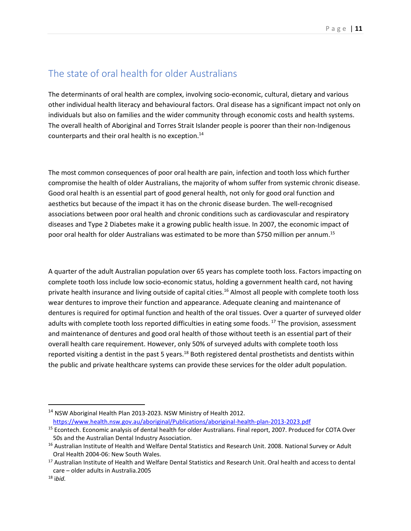### <span id="page-10-0"></span>The state of oral health for older Australians

The determinants of oral health are complex, involving socio-economic, cultural, dietary and various other individual health literacy and behavioural factors. Oral disease has a significant impact not only on individuals but also on families and the wider community through economic costs and health systems. The overall health of Aboriginal and Torres Strait Islander people is poorer than their non-Indigenous counterparts and their oral health is no exception. 14

The most common consequences of poor oral health are pain, infection and tooth loss which further compromise the health of older Australians, the majority of whom suffer from systemic chronic disease. Good oral health is an essential part of good general health, not only for good oral function and aesthetics but because of the impact it has on the chronic disease burden. The well-recognised associations between poor oral health and chronic conditions such as cardiovascular and respiratory diseases and Type 2 Diabetes make it a growing public health issue. In 2007, the economic impact of poor oral health for older Australians was estimated to be more than \$750 million per annum.<sup>15</sup>

A quarter of the adult Australian population over 65 years has complete tooth loss. Factors impacting on complete tooth loss include low socio-economic status, holding a government health card, not having private health insurance and living outside of capital cities.<sup>16</sup> Almost all people with complete tooth loss wear dentures to improve their function and appearance. Adequate cleaning and maintenance of dentures is required for optimal function and health of the oral tissues. Over a quarter of surveyed older adults with complete tooth loss reported difficulties in eating some foods.<sup>17</sup> The provision, assessment and maintenance of dentures and good oral health of those without teeth is an essential part of their overall health care requirement. However, only 50% of surveyed adults with complete tooth loss reported visiting a dentist in the past 5 years.<sup>18</sup> Both registered dental prosthetists and dentists within the public and private healthcare systems can provide these services for the older adult population.

l

<sup>&</sup>lt;sup>14</sup> NSW Aboriginal Health Plan 2013-2023. NSW Ministry of Health 2012. <https://www.health.nsw.gov.au/aboriginal/Publications/aboriginal-health-plan-2013-2023.pdf>

<sup>15</sup> Econtech. Economic analysis of dental health for older Australians. Final report, 2007. Produced for COTA Over 50s and the Australian Dental Industry Association.

<sup>&</sup>lt;sup>16</sup> Australian Institute of Health and Welfare Dental Statistics and Research Unit. 2008. National Survey or Adult Oral Health 2004-06: New South Wales.

<sup>&</sup>lt;sup>17</sup> Australian Institute of Health and Welfare Dental Statistics and Research Unit. Oral health and access to dental care – older adults in Australia.2005

<sup>18</sup> i*bid.*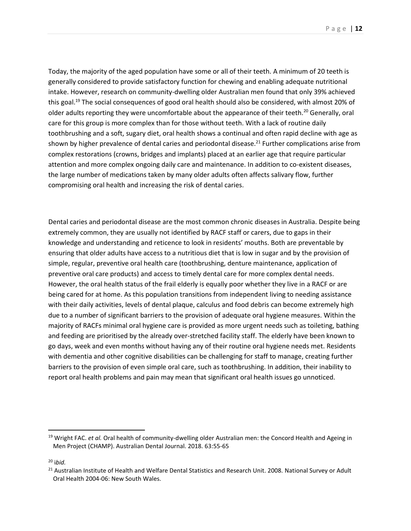P a g e | **12**

Today, the majority of the aged population have some or all of their teeth. A minimum of 20 teeth is generally considered to provide satisfactory function for chewing and enabling adequate nutritional intake. However, research on community-dwelling older Australian men found that only 39% achieved this goal.<sup>19</sup> The social consequences of good oral health should also be considered, with almost 20% of older adults reporting they were uncomfortable about the appearance of their teeth.<sup>20</sup> Generally, oral care for this group is more complex than for those without teeth. With a lack of routine daily toothbrushing and a soft, sugary diet, oral health shows a continual and often rapid decline with age as shown by higher prevalence of dental caries and periodontal disease.<sup>21</sup> Further complications arise from complex restorations (crowns, bridges and implants) placed at an earlier age that require particular attention and more complex ongoing daily care and maintenance. In addition to co-existent diseases, the large number of medications taken by many older adults often affects salivary flow, further compromising oral health and increasing the risk of dental caries.

Dental caries and periodontal disease are the most common chronic diseases in Australia. Despite being extremely common, they are usually not identified by RACF staff or carers, due to gaps in their knowledge and understanding and reticence to look in residents' mouths. Both are preventable by ensuring that older adults have access to a nutritious diet that is low in sugar and by the provision of simple, regular, preventive oral health care (toothbrushing, denture maintenance, application of preventive oral care products) and access to timely dental care for more complex dental needs. However, the oral health status of the frail elderly is equally poor whether they live in a RACF or are being cared for at home. As this population transitions from independent living to needing assistance with their daily activities, levels of dental plaque, calculus and food debris can become extremely high due to a number of significant barriers to the provision of adequate oral hygiene measures. Within the majority of RACFs minimal oral hygiene care is provided as more urgent needs such as toileting, bathing and feeding are prioritised by the already over-stretched facility staff. The elderly have been known to go days, week and even months without having any of their routine oral hygiene needs met. Residents with dementia and other cognitive disabilities can be challenging for staff to manage, creating further barriers to the provision of even simple oral care, such as toothbrushing. In addition, their inability to report oral health problems and pain may mean that significant oral health issues go unnoticed.

l

<sup>19</sup> Wright FAC. *et al.* Oral health of community-dwelling older Australian men: the Concord Health and Ageing in Men Project (CHAMP). Australian Dental Journal. 2018. 63:55-65

<sup>20</sup> i*bid.*

<sup>&</sup>lt;sup>21</sup> Australian Institute of Health and Welfare Dental Statistics and Research Unit. 2008. National Survey or Adult Oral Health 2004-06: New South Wales.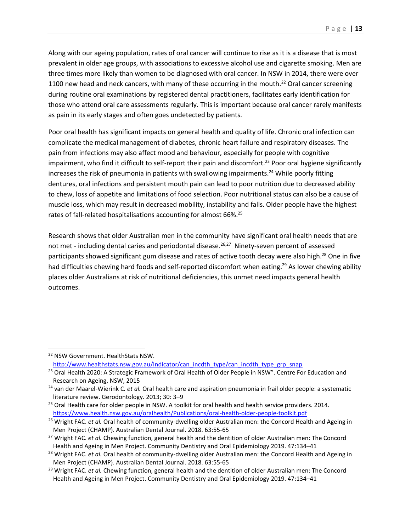Along with our ageing population, rates of oral cancer will continue to rise as it is a disease that is most prevalent in older age groups, with associations to excessive alcohol use and cigarette smoking. Men are three times more likely than women to be diagnosed with oral cancer. In NSW in 2014, there were over 1100 new head and neck cancers, with many of these occurring in the mouth.<sup>22</sup> Oral cancer screening during routine oral examinations by registered dental practitioners, facilitates early identification for those who attend oral care assessments regularly. This is important because oral cancer rarely manifests as pain in its early stages and often goes undetected by patients.

Poor oral health has significant impacts on general health and quality of life. Chronic oral infection can complicate the medical management of diabetes, chronic heart failure and respiratory diseases. The pain from infections may also affect mood and behaviour, especially for people with cognitive impairment, who find it difficult to self-report their pain and discomfort.<sup>23</sup> Poor oral hygiene significantly increases the risk of pneumonia in patients with swallowing impairments.<sup>24</sup> While poorly fitting dentures, oral infections and persistent mouth pain can lead to poor nutrition due to decreased ability to chew, loss of appetite and limitations of food selection. Poor nutritional status can also be a cause of muscle loss, which may result in decreased mobility, instability and falls. Older people have the highest rates of fall-related hospitalisations accounting for almost 66%.<sup>25</sup>

Research shows that older Australian men in the community have significant oral health needs that are not met - including dental caries and periodontal disease.<sup>26,27</sup> Ninety-seven percent of assessed participants showed significant gum disease and rates of active tooth decay were also high.<sup>28</sup> One in five had difficulties chewing hard foods and self-reported discomfort when eating.<sup>29</sup> As lower chewing ability places older Australians at risk of nutritional deficiencies, this unmet need impacts general health outcomes.

 $\overline{\phantom{a}}$ 

<sup>29</sup> Wright FAC. *et al.* Chewing function, general health and the dentition of older Australian men: The Concord Health and Ageing in Men Project. Community Dentistry and Oral Epidemiology 2019. 47:134–41

<sup>22</sup> NSW Government. HealthStats NSW.

[http://www.healthstats.nsw.gov.au/Indicator/can\\_incdth\\_type/can\\_incdth\\_type\\_grp\\_snap](http://www.healthstats.nsw.gov.au/Indicator/can_incdth_type/can_incdth_type_grp_snap)

<sup>&</sup>lt;sup>23</sup> Oral Health 2020: A Strategic Framework of Oral Health of Older People in NSW". Centre For Education and Research on Ageing, NSW, 2015

<sup>24</sup> van der Maarel-Wierink C*. et al.* Oral health care and aspiration pneumonia in frail older people: a systematic literature review. Gerodontology. 2013; 30: 3–9

<sup>&</sup>lt;sup>25</sup> Oral Health care for older people in NSW. A toolkit for oral health and health service providers. 2014. <https://www.health.nsw.gov.au/oralhealth/Publications/oral-health-older-people-toolkit.pdf>

<sup>26</sup> Wright FAC. *et al.* Oral health of community-dwelling older Australian men: the Concord Health and Ageing in Men Project (CHAMP). Australian Dental Journal. 2018. 63:55-65

<sup>27</sup> Wright FAC. *et al.* Chewing function, general health and the dentition of older Australian men: The Concord Health and Ageing in Men Project. Community Dentistry and Oral Epidemiology 2019. 47:134–41

<sup>28</sup> Wright FAC. *et al.* Oral health of community-dwelling older Australian men: the Concord Health and Ageing in Men Project (CHAMP). Australian Dental Journal. 2018. 63:55-65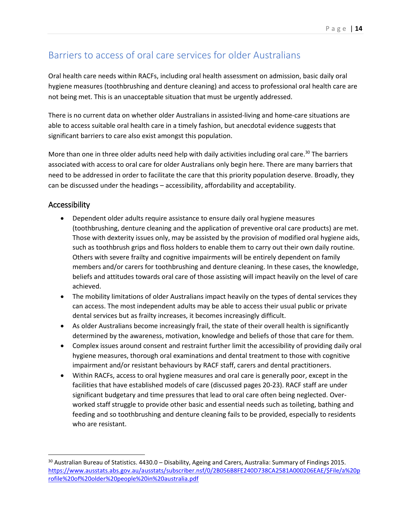## <span id="page-13-0"></span>Barriers to access of oral care services for older Australians

Oral health care needs within RACFs, including oral health assessment on admission, basic daily oral hygiene measures (toothbrushing and denture cleaning) and access to professional oral health care are not being met. This is an unacceptable situation that must be urgently addressed.

There is no current data on whether older Australians in assisted-living and home-care situations are able to access suitable oral health care in a timely fashion, but anecdotal evidence suggests that significant barriers to care also exist amongst this population.

More than one in three older adults need help with daily activities including oral care.<sup>30</sup> The barriers associated with access to oral care for older Australians only begin here. There are many barriers that need to be addressed in order to facilitate the care that this priority population deserve. Broadly, they can be discussed under the headings – accessibility, affordability and acceptability.

#### <span id="page-13-1"></span>Accessibility

 $\overline{a}$ 

- Dependent older adults require assistance to ensure daily oral hygiene measures (toothbrushing, denture cleaning and the application of preventive oral care products) are met. Those with dexterity issues only, may be assisted by the provision of modified oral hygiene aids, such as toothbrush grips and floss holders to enable them to carry out their own daily routine. Others with severe frailty and cognitive impairments will be entirely dependent on family members and/or carers for toothbrushing and denture cleaning. In these cases, the knowledge, beliefs and attitudes towards oral care of those assisting will impact heavily on the level of care achieved.
- The mobility limitations of older Australians impact heavily on the types of dental services they can access. The most independent adults may be able to access their usual public or private dental services but as frailty increases, it becomes increasingly difficult.
- As older Australians become increasingly frail, the state of their overall health is significantly determined by the awareness, motivation, knowledge and beliefs of those that care for them.
- Complex issues around consent and restraint further limit the accessibility of providing daily oral hygiene measures, thorough oral examinations and dental treatment to those with cognitive impairment and/or resistant behaviours by RACF staff, carers and dental practitioners.
- Within RACFs, access to oral hygiene measures and oral care is generally poor, except in the facilities that have established models of care (discussed pages 20-23). RACF staff are under significant budgetary and time pressures that lead to oral care often being neglected. Overworked staff struggle to provide other basic and essential needs such as toileting, bathing and feeding and so toothbrushing and denture cleaning fails to be provided, especially to residents who are resistant.

<sup>&</sup>lt;sup>30</sup> Australian Bureau of Statistics. 4430.0 – Disability, Ageing and Carers, Australia: Summary of Findings 2015. [https://www.ausstats.abs.gov.au/ausstats/subscriber.nsf/0/2B056B8FE240D738CA2581A000206EAE/\\$File/a%20p](https://www.ausstats.abs.gov.au/ausstats/subscriber.nsf/0/2B056B8FE240D738CA2581A000206EAE/$File/a%20profile%20of%20older%20people%20in%20australia.pdf) [rofile%20of%20older%20people%20in%20australia.pdf](https://www.ausstats.abs.gov.au/ausstats/subscriber.nsf/0/2B056B8FE240D738CA2581A000206EAE/$File/a%20profile%20of%20older%20people%20in%20australia.pdf)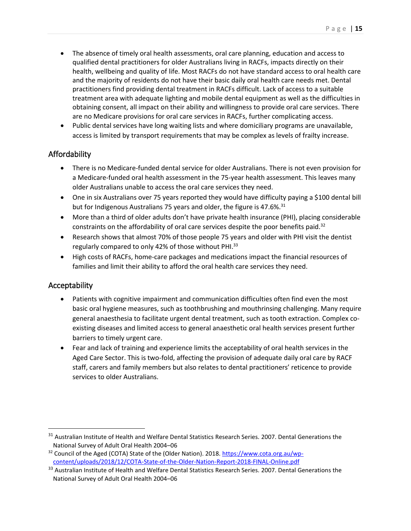- The absence of timely oral health assessments, oral care planning, education and access to qualified dental practitioners for older Australians living in RACFs, impacts directly on their health, wellbeing and quality of life. Most RACFs do not have standard access to oral health care and the majority of residents do not have their basic daily oral health care needs met. Dental practitioners find providing dental treatment in RACFs difficult. Lack of access to a suitable treatment area with adequate lighting and mobile dental equipment as well as the difficulties in obtaining consent, all impact on their ability and willingness to provide oral care services. There are no Medicare provisions for oral care services in RACFs, further complicating access.
- Public dental services have long waiting lists and where domiciliary programs are unavailable, access is limited by transport requirements that may be complex as levels of frailty increase.

#### <span id="page-14-0"></span>Affordability

- There is no Medicare-funded dental service for older Australians. There is not even provision for a Medicare-funded oral health assessment in the 75-year health assessment. This leaves many older Australians unable to access the oral care services they need.
- One in six Australians over 75 years reported they would have difficulty paying a \$100 dental bill but for Indigenous Australians 75 years and older, the figure is 47.6%.<sup>31</sup>
- More than a third of older adults don't have private health insurance (PHI), placing considerable constraints on the affordability of oral care services despite the poor benefits paid.<sup>32</sup>
- Research shows that almost 70% of those people 75 years and older with PHI visit the dentist regularly compared to only 42% of those without PHI.<sup>33</sup>
- High costs of RACFs, home-care packages and medications impact the financial resources of families and limit their ability to afford the oral health care services they need.

#### <span id="page-14-1"></span>Acceptability

 $\overline{\phantom{a}}$ 

- Patients with cognitive impairment and communication difficulties often find even the most basic oral hygiene measures, such as toothbrushing and mouthrinsing challenging. Many require general anaesthesia to facilitate urgent dental treatment, such as tooth extraction. Complex coexisting diseases and limited access to general anaesthetic oral health services present further barriers to timely urgent care.
- Fear and lack of training and experience limits the acceptability of oral health services in the Aged Care Sector. This is two-fold, affecting the provision of adequate daily oral care by RACF staff, carers and family members but also relates to dental practitioners' reticence to provide services to older Australians.

<sup>&</sup>lt;sup>31</sup> Australian Institute of Health and Welfare Dental Statistics Research Series. 2007. Dental Generations the National Survey of Adult Oral Health 2004–06

<sup>&</sup>lt;sup>32</sup> Council of the Aged (COTA) State of the (Older Nation). 2018. [https://www.cota.org.au/wp](https://www.cota.org.au/wp-content/uploads/2018/12/COTA-State-of-the-Older-Nation-Report-2018-FINAL-Online.pdf)[content/uploads/2018/12/COTA-State-of-the-Older-Nation-Report-2018-FINAL-Online.pdf](https://www.cota.org.au/wp-content/uploads/2018/12/COTA-State-of-the-Older-Nation-Report-2018-FINAL-Online.pdf)

<sup>&</sup>lt;sup>33</sup> Australian Institute of Health and Welfare Dental Statistics Research Series. 2007. Dental Generations the National Survey of Adult Oral Health 2004–06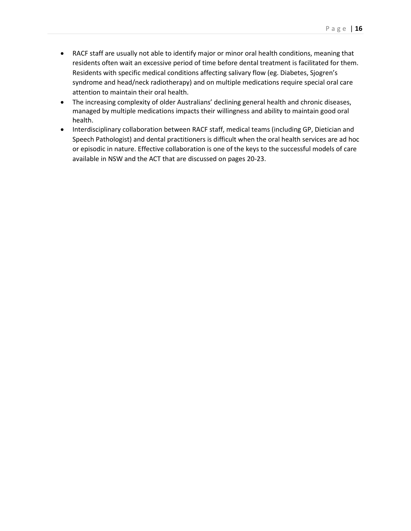- RACF staff are usually not able to identify major or minor oral health conditions, meaning that residents often wait an excessive period of time before dental treatment is facilitated for them. Residents with specific medical conditions affecting salivary flow (eg. Diabetes, Sjogren's syndrome and head/neck radiotherapy) and on multiple medications require special oral care attention to maintain their oral health.
- The increasing complexity of older Australians' declining general health and chronic diseases, managed by multiple medications impacts their willingness and ability to maintain good oral health.
- Interdisciplinary collaboration between RACF staff, medical teams (including GP, Dietician and Speech Pathologist) and dental practitioners is difficult when the oral health services are ad hoc or episodic in nature. Effective collaboration is one of the keys to the successful models of care available in NSW and the ACT that are discussed on pages 20-23.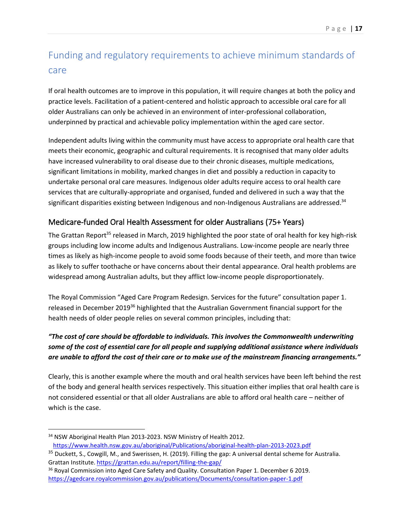# <span id="page-16-0"></span>Funding and regulatory requirements to achieve minimum standards of care

If oral health outcomes are to improve in this population, it will require changes at both the policy and practice levels. Facilitation of a patient-centered and holistic approach to accessible oral care for all older Australians can only be achieved in an environment of inter-professional collaboration, underpinned by practical and achievable policy implementation within the aged care sector.

Independent adults living within the community must have access to appropriate oral health care that meets their economic, geographic and cultural requirements. It is recognised that many older adults have increased vulnerability to oral disease due to their chronic diseases, multiple medications, significant limitations in mobility, marked changes in diet and possibly a reduction in capacity to undertake personal oral care measures. Indigenous older adults require access to oral health care services that are culturally-appropriate and organised, funded and delivered in such a way that the significant disparities existing between Indigenous and non-Indigenous Australians are addressed.<sup>34</sup>

#### <span id="page-16-1"></span>Medicare-funded Oral Health Assessment for older Australians (75+ Years)

The Grattan Report<sup>35</sup> released in March, 2019 highlighted the poor state of oral health for key high-risk groups including low income adults and Indigenous Australians. Low-income people are nearly three times as likely as high-income people to avoid some foods because of their teeth, and more than twice as likely to suffer toothache or have concerns about their dental appearance. Oral health problems are widespread among Australian adults, but they afflict low-income people disproportionately.

The Royal Commission "Aged Care Program Redesign. Services for the future" consultation paper 1. released in December 2019<sup>36</sup> highlighted that the Australian Government financial support for the health needs of older people relies on several common principles, including that:

#### *"The cost of care should be affordable to individuals. This involves the Commonwealth underwriting some of the cost of essential care for all people and supplying additional assistance where individuals are unable to afford the cost of their care or to make use of the mainstream financing arrangements."*

Clearly, this is another example where the mouth and oral health services have been left behind the rest of the body and general health services respectively. This situation either implies that oral health care is not considered essential or that all older Australians are able to afford oral health care – neither of which is the case.

 $\overline{\phantom{a}}$ 

<sup>&</sup>lt;sup>34</sup> NSW Aboriginal Health Plan 2013-2023. NSW Ministry of Health 2012. <https://www.health.nsw.gov.au/aboriginal/Publications/aboriginal-health-plan-2013-2023.pdf>

<sup>&</sup>lt;sup>35</sup> Duckett, S., Cowgill, M., and Swerissen, H. (2019). Filling the gap: A universal dental scheme for Australia. Grattan Institute. <https://grattan.edu.au/report/filling-the-gap/>

<sup>&</sup>lt;sup>36</sup> Royal Commission into Aged Care Safety and Quality. Consultation Paper 1. December 6 2019. <https://agedcare.royalcommission.gov.au/publications/Documents/consultation-paper-1.pdf>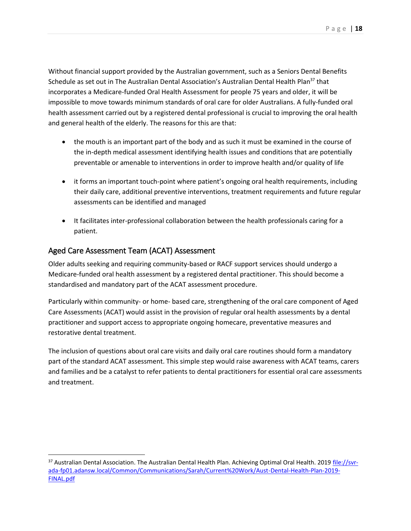Without financial support provided by the Australian government, such as a Seniors Dental Benefits Schedule as set out in The Australian Dental Association's Australian Dental Health Plan<sup>37</sup> that incorporates a Medicare-funded Oral Health Assessment for people 75 years and older, it will be impossible to move towards minimum standards of oral care for older Australians. A fully-funded oral health assessment carried out by a registered dental professional is crucial to improving the oral health and general health of the elderly. The reasons for this are that:

- the mouth is an important part of the body and as such it must be examined in the course of the in-depth medical assessment identifying health issues and conditions that are potentially preventable or amenable to interventions in order to improve health and/or quality of life
- it forms an important touch-point where patient's ongoing oral health requirements, including their daily care, additional preventive interventions, treatment requirements and future regular assessments can be identified and managed
- It facilitates inter-professional collaboration between the health professionals caring for a patient.

#### <span id="page-17-0"></span>Aged Care Assessment Team (ACAT) Assessment

 $\overline{a}$ 

Older adults seeking and requiring community-based or RACF support services should undergo a Medicare-funded oral health assessment by a registered dental practitioner. This should become a standardised and mandatory part of the ACAT assessment procedure.

Particularly within community- or home- based care, strengthening of the oral care component of Aged Care Assessments (ACAT) would assist in the provision of regular oral health assessments by a dental practitioner and support access to appropriate ongoing homecare, preventative measures and restorative dental treatment.

The inclusion of questions about oral care visits and daily oral care routines should form a mandatory part of the standard ACAT assessment. This simple step would raise awareness with ACAT teams, carers and families and be a catalyst to refer patients to dental practitioners for essential oral care assessments and treatment.

<sup>&</sup>lt;sup>37</sup> Australian Dental Association. The Australian Dental Health Plan. Achieving Optimal Oral Health. 2019 [file://svr](file://///svr-ada-fp01.adansw.local/Common/Communications/Sarah/Current%20Work/Aust-Dental-Health-Plan-2019-FINAL.pdf)[ada-fp01.adansw.local/Common/Communications/Sarah/Current%20Work/Aust-Dental-Health-Plan-2019-](file://///svr-ada-fp01.adansw.local/Common/Communications/Sarah/Current%20Work/Aust-Dental-Health-Plan-2019-FINAL.pdf) [FINAL.pdf](file://///svr-ada-fp01.adansw.local/Common/Communications/Sarah/Current%20Work/Aust-Dental-Health-Plan-2019-FINAL.pdf)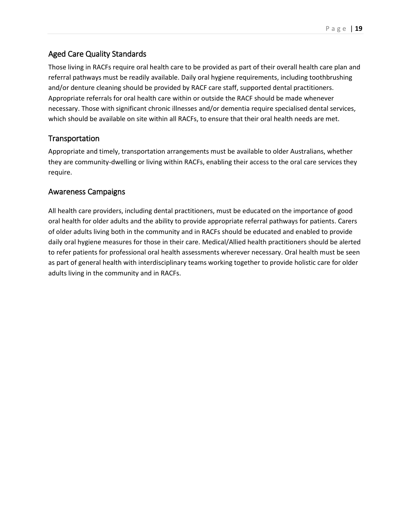#### <span id="page-18-0"></span>Aged Care Quality Standards

Those living in RACFs require oral health care to be provided as part of their overall health care plan and referral pathways must be readily available. Daily oral hygiene requirements, including toothbrushing and/or denture cleaning should be provided by RACF care staff, supported dental practitioners. Appropriate referrals for oral health care within or outside the RACF should be made whenever necessary. Those with significant chronic illnesses and/or dementia require specialised dental services, which should be available on site within all RACFs, to ensure that their oral health needs are met.

#### <span id="page-18-1"></span>**Transportation**

Appropriate and timely, transportation arrangements must be available to older Australians, whether they are community-dwelling or living within RACFs, enabling their access to the oral care services they require.

#### <span id="page-18-2"></span>Awareness Campaigns

All health care providers, including dental practitioners, must be educated on the importance of good oral health for older adults and the ability to provide appropriate referral pathways for patients. Carers of older adults living both in the community and in RACFs should be educated and enabled to provide daily oral hygiene measures for those in their care. Medical/Allied health practitioners should be alerted to refer patients for professional oral health assessments wherever necessary. Oral health must be seen as part of general health with interdisciplinary teams working together to provide holistic care for older adults living in the community and in RACFs.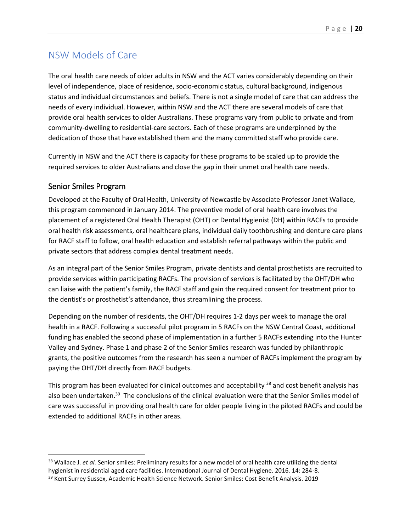# <span id="page-19-0"></span>NSW Models of Care

The oral health care needs of older adults in NSW and the ACT varies considerably depending on their level of independence, place of residence, socio-economic status, cultural background, indigenous status and individual circumstances and beliefs. There is not a single model of care that can address the needs of every individual. However, within NSW and the ACT there are several models of care that provide oral health services to older Australians. These programs vary from public to private and from community-dwelling to residential-care sectors. Each of these programs are underpinned by the dedication of those that have established them and the many committed staff who provide care.

Currently in NSW and the ACT there is capacity for these programs to be scaled up to provide the required services to older Australians and close the gap in their unmet oral health care needs.

#### <span id="page-19-1"></span>Senior Smiles Program

 $\overline{a}$ 

Developed at the Faculty of Oral Health, University of Newcastle by Associate Professor Janet Wallace, this program commenced in January 2014. The preventive model of oral health care involves the placement of a registered Oral Health Therapist (OHT) or Dental Hygienist (DH) within RACFs to provide oral health risk assessments, oral healthcare plans, individual daily toothbrushing and denture care plans for RACF staff to follow, oral health education and establish referral pathways within the public and private sectors that address complex dental treatment needs.

As an integral part of the Senior Smiles Program, private dentists and dental prosthetists are recruited to provide services within participating RACFs. The provision of services is facilitated by the OHT/DH who can liaise with the patient's family, the RACF staff and gain the required consent for treatment prior to the dentist's or prosthetist's attendance, thus streamlining the process.

Depending on the number of residents, the OHT/DH requires 1-2 days per week to manage the oral health in a RACF. Following a successful pilot program in 5 RACFs on the NSW Central Coast, additional funding has enabled the second phase of implementation in a further 5 RACFs extending into the Hunter Valley and Sydney. Phase 1 and phase 2 of the Senior Smiles research was funded by philanthropic grants, the positive outcomes from the research has seen a number of RACFs implement the program by paying the OHT/DH directly from RACF budgets.

This program has been evaluated for clinical outcomes and acceptability <sup>38</sup> and cost benefit analysis has also been undertaken.<sup>39</sup> The conclusions of the clinical evaluation were that the Senior Smiles model of care was successful in providing oral health care for older people living in the piloted RACFs and could be extended to additional RACFs in other areas.

<sup>38</sup> Wallace J. *et al.* Senior smiles: Preliminary results for a new model of oral health care utilizing the dental hygienist in residential aged care facilities. International Journal of Dental Hygiene. 2016. 14: 284-8.

<sup>&</sup>lt;sup>39</sup> Kent Surrey Sussex, Academic Health Science Network. Senior Smiles: Cost Benefit Analysis. 2019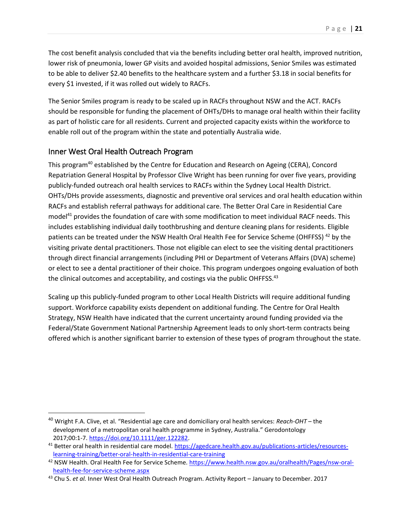The cost benefit analysis concluded that via the benefits including better oral health, improved nutrition, lower risk of pneumonia, lower GP visits and avoided hospital admissions, Senior Smiles was estimated to be able to deliver \$2.40 benefits to the healthcare system and a further \$3.18 in social benefits for every \$1 invested, if it was rolled out widely to RACFs.

The Senior Smiles program is ready to be scaled up in RACFs throughout NSW and the ACT. RACFs should be responsible for funding the placement of OHTs/DHs to manage oral health within their facility as part of holistic care for all residents. Current and projected capacity exists within the workforce to enable roll out of the program within the state and potentially Australia wide.

#### <span id="page-20-0"></span>Inner West Oral Health Outreach Program

 $\overline{\phantom{a}}$ 

This program<sup>40</sup> established by the Centre for Education and Research on Ageing (CERA), Concord Repatriation General Hospital by Professor Clive Wright has been running for over five years, providing publicly-funded outreach oral health services to RACFs within the Sydney Local Health District. OHTs/DHs provide assessments, diagnostic and preventive oral services and oral health education within RACFs and establish referral pathways for additional care. The Better Oral Care in Residential Care model<sup>41</sup> provides the foundation of care with some modification to meet individual RACF needs. This includes establishing individual daily toothbrushing and denture cleaning plans for residents. Eligible patients can be treated under the NSW Health Oral Health Fee for Service Scheme (OHFFSS)<sup>42</sup> by the visiting private dental practitioners. Those not eligible can elect to see the visiting dental practitioners through direct financial arrangements (including PHI or Department of Veterans Affairs (DVA) scheme) or elect to see a dental practitioner of their choice. This program undergoes ongoing evaluation of both the clinical outcomes and acceptability, and costings via the public OHFFSS.<sup>43</sup>

Scaling up this publicly-funded program to other Local Health Districts will require additional funding support. Workforce capability exists dependent on additional funding. The Centre for Oral Health Strategy, NSW Health have indicated that the current uncertainty around funding provided via the Federal/State Government National Partnership Agreement leads to only short-term contracts being offered which is another significant barrier to extension of these types of program throughout the state.

<sup>40</sup> Wright F.A. Clive, et al. "Residential age care and domiciliary oral health services: *Reach-OHT* – the development of a metropolitan oral health programme in Sydney, Australia." Gerodontology 2017;00:1-7. [https://doi.org/10.1111/ger.122282.](https://doi.org/10.1111/ger.122282)

<sup>&</sup>lt;sup>41</sup> Better oral health in residential care model. [https://agedcare.health.gov.au/publications-articles/resources](https://agedcare.health.gov.au/publications-articles/resources-learning-training/better-oral-health-in-residential-care-training)[learning-training/better-oral-health-in-residential-care-training](https://agedcare.health.gov.au/publications-articles/resources-learning-training/better-oral-health-in-residential-care-training)

<sup>42</sup> NSW Health. Oral Health Fee for Service Scheme. [https://www.health.nsw.gov.au/oralhealth/Pages/nsw-oral](https://www.health.nsw.gov.au/oralhealth/Pages/nsw-oral-health-fee-for-service-scheme.aspx)[health-fee-for-service-scheme.aspx](https://www.health.nsw.gov.au/oralhealth/Pages/nsw-oral-health-fee-for-service-scheme.aspx)

<sup>43</sup> Chu S. *et al.* Inner West Oral Health Outreach Program. Activity Report – January to December. 2017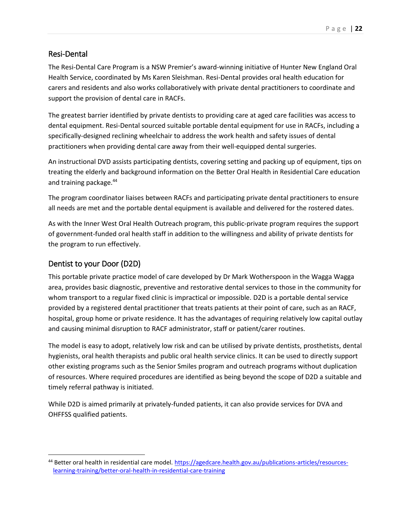#### <span id="page-21-0"></span>Resi-Dental

The Resi-Dental Care Program is a NSW Premier's award-winning initiative of Hunter New England Oral Health Service, coordinated by Ms Karen Sleishman. Resi-Dental provides oral health education for carers and residents and also works collaboratively with private dental practitioners to coordinate and support the provision of dental care in RACFs.

The greatest barrier identified by private dentists to providing care at aged care facilities was access to dental equipment. Resi-Dental sourced suitable portable dental equipment for use in RACFs, including a specifically-designed reclining wheelchair to address the work health and safety issues of dental practitioners when providing dental care away from their well-equipped dental surgeries.

An instructional DVD assists participating dentists, covering setting and packing up of equipment, tips on treating the elderly and background information on the Better Oral Health in Residential Care education and training package.<sup>44</sup>

The program coordinator liaises between RACFs and participating private dental practitioners to ensure all needs are met and the portable dental equipment is available and delivered for the rostered dates.

As with the Inner West Oral Health Outreach program, this public-private program requires the support of government-funded oral health staff in addition to the willingness and ability of private dentists for the program to run effectively.

#### <span id="page-21-1"></span>Dentist to your Door (D2D)

 $\overline{a}$ 

This portable private practice model of care developed by Dr Mark Wotherspoon in the Wagga Wagga area, provides basic diagnostic, preventive and restorative dental services to those in the community for whom transport to a regular fixed clinic is impractical or impossible. D2D is a portable dental service provided by a registered dental practitioner that treats patients at their point of care, such as an RACF, hospital, group home or private residence. It has the advantages of requiring relatively low capital outlay and causing minimal disruption to RACF administrator, staff or patient/carer routines.

The model is easy to adopt, relatively low risk and can be utilised by private dentists, prosthetists, dental hygienists, oral health therapists and public oral health service clinics. It can be used to directly support other existing programs such as the Senior Smiles program and outreach programs without duplication of resources. Where required procedures are identified as being beyond the scope of D2D a suitable and timely referral pathway is initiated.

While D2D is aimed primarily at privately-funded patients, it can also provide services for DVA and OHFFSS qualified patients.

<sup>44</sup> Better oral health in residential care model. [https://agedcare.health.gov.au/publications-articles/resources](https://agedcare.health.gov.au/publications-articles/resources-learning-training/better-oral-health-in-residential-care-training)[learning-training/better-oral-health-in-residential-care-training](https://agedcare.health.gov.au/publications-articles/resources-learning-training/better-oral-health-in-residential-care-training)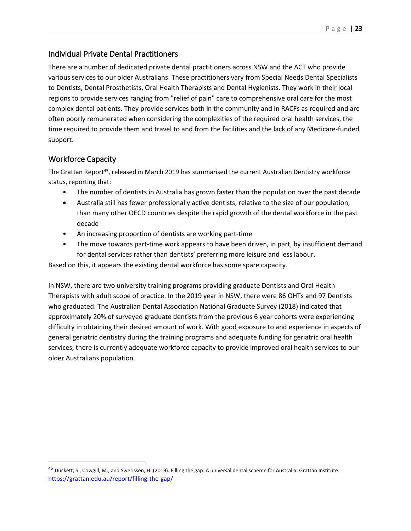#### <span id="page-22-0"></span>Individual Private Dental Practitioners

There are a number of dedicated private dental practitioners across NSW and the ACT who provide various services to our older Australians. These practitioners vary from Special Needs Dental Specialists to Dentists, Dental Prosthetists, Oral Health Therapists and Dental Hygienists. They work in their local regions to provide services ranging from "relief of pain" care to comprehensive oral care for the most complex dental patients. They provide services both in the community and in RACFs as required and are often poorly remunerated when considering the complexities of the required oral health services, the time required to provide them and travel to and from the facilities and the lack of any Medicare-funded support.

#### <span id="page-22-1"></span>Workforce Capacity

 $\overline{a}$ 

The Grattan Report<sup>45</sup>, released in March 2019 has summarised the current Australian Dentistry workforce status, reporting that:

- The number of dentists in Australia has grown faster than the population over the past decade
- Australia still has fewer professionally active dentists, relative to the size of our population, than many other OECD countries despite the rapid growth of the dental workforce in the past decade
- An increasing proportion of dentists are working part-time
- The move towards part-time work appears to have been driven, in part, by insufficient demand for dental services rather than dentists' preferring more leisure and less labour.

Based on this, it appears the existing dental workforce has some spare capacity.

In NSW, there are two university training programs providing graduate Dentists and Oral Health Therapists with adult scope of practice. In the 2019 year in NSW, there were 86 OHTs and 97 Dentists who graduated. The Australian Dental Association National Graduate Survey (2018) indicated that approximately 20% of surveyed graduate dentists from the previous 6 year cohorts were experiencing difficulty in obtaining their desired amount of work. With good exposure to and experience in aspects of general geriatric dentistry during the training programs and adequate funding for geriatric oral health services, there is currently adequate workforce capacity to provide improved oral health services to our older Australians population.

<sup>&</sup>lt;sup>45</sup> Duckett, S., Cowgill, M., and Swerissen, H. (2019). Filling the gap: A universal dental scheme for Australia. Grattan Institute. <https://grattan.edu.au/report/filling-the-gap/>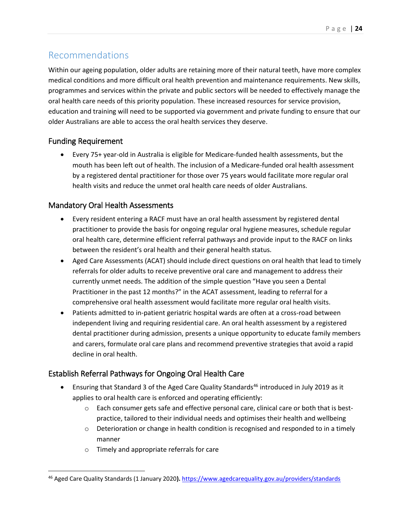# <span id="page-23-0"></span>Recommendations

Within our ageing population, older adults are retaining more of their natural teeth, have more complex medical conditions and more difficult oral health prevention and maintenance requirements. New skills, programmes and services within the private and public sectors will be needed to effectively manage the oral health care needs of this priority population. These increased resources for service provision, education and training will need to be supported via government and private funding to ensure that our older Australians are able to access the oral health services they deserve.

#### <span id="page-23-1"></span>Funding Requirement

 $\overline{\phantom{a}}$ 

• Every 75+ year-old in Australia is eligible for Medicare-funded health assessments, but the mouth has been left out of health. The inclusion of a Medicare-funded oral health assessment by a registered dental practitioner for those over 75 years would facilitate more regular oral health visits and reduce the unmet oral health care needs of older Australians.

#### <span id="page-23-2"></span>Mandatory Oral Health Assessments

- Every resident entering a RACF must have an oral health assessment by registered dental practitioner to provide the basis for ongoing regular oral hygiene measures, schedule regular oral health care, determine efficient referral pathways and provide input to the RACF on links between the resident's oral health and their general health status.
- Aged Care Assessments (ACAT) should include direct questions on oral health that lead to timely referrals for older adults to receive preventive oral care and management to address their currently unmet needs. The addition of the simple question "Have you seen a Dental Practitioner in the past 12 months?" in the ACAT assessment, leading to referral for a comprehensive oral health assessment would facilitate more regular oral health visits.
- Patients admitted to in-patient geriatric hospital wards are often at a cross-road between independent living and requiring residential care. An oral health assessment by a registered dental practitioner during admission, presents a unique opportunity to educate family members and carers, formulate oral care plans and recommend preventive strategies that avoid a rapid decline in oral health.

#### <span id="page-23-3"></span>Establish Referral Pathways for Ongoing Oral Health Care

- Ensuring that Standard 3 of the Aged Care Quality Standards<sup>46</sup> introduced in July 2019 as it applies to oral health care is enforced and operating efficiently:
	- $\circ$  Each consumer gets safe and effective personal care, clinical care or both that is bestpractice, tailored to their individual needs and optimises their health and wellbeing
	- $\circ$  Deterioration or change in health condition is recognised and responded to in a timely manner
	- o Timely and appropriate referrals for care

<sup>46</sup> Aged Care Quality Standards (1 January 2020**).** <https://www.agedcarequality.gov.au/providers/standards>